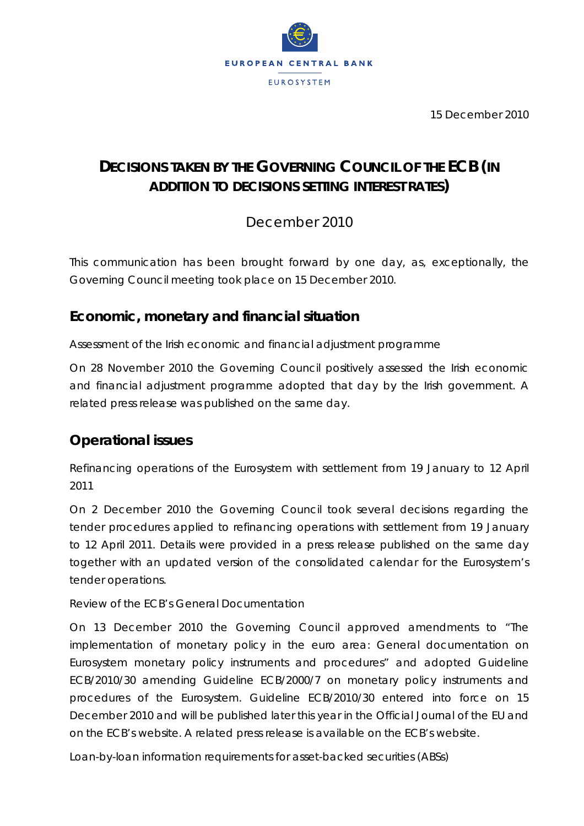

15 December 2010

# **DECISIONS TAKEN BY THE GOVERNING COUNCIL OF THE ECB (***IN ADDITION TO DECISIONS SETTING INTEREST RATES***)**

December 2010

*This communication has been brought forward by one day, as, exceptionally, the Governing Council meeting took place on 15 December 2010.* 

## **Economic, monetary and financial situation**

*Assessment of the Irish economic and financial adjustment programme* 

On 28 November 2010 the Governing Council positively assessed the Irish economic and financial adjustment programme adopted that day by the Irish government. A related press release was published on the same day.

## **Operational issues**

*Refinancing operations of the Eurosystem with settlement from 19 January to 12 April 2011* 

On 2 December 2010 the Governing Council took several decisions regarding the tender procedures applied to refinancing operations with settlement from 19 January to 12 April 2011. Details were provided in a press release published on the same day together with an updated version of the consolidated calendar for the Eurosystem's tender operations.

### Review of the *ECB's General Documentation*

On 13 December 2010 the Governing Council approved amendments to "The implementation of monetary policy in the euro area: General documentation on Eurosystem monetary policy instruments and procedures" and adopted Guideline ECB/2010/30 amending Guideline ECB/2000/7 on monetary policy instruments and procedures of the Eurosystem. Guideline ECB/2010/30 entered into force on 15 December 2010 and will be published later this year in the *Official Journal of the EU* and on the ECB's website. A related press release is available on the ECB's website.

*Loan-by-loan information requirements for asset-backed securities (ABSs)*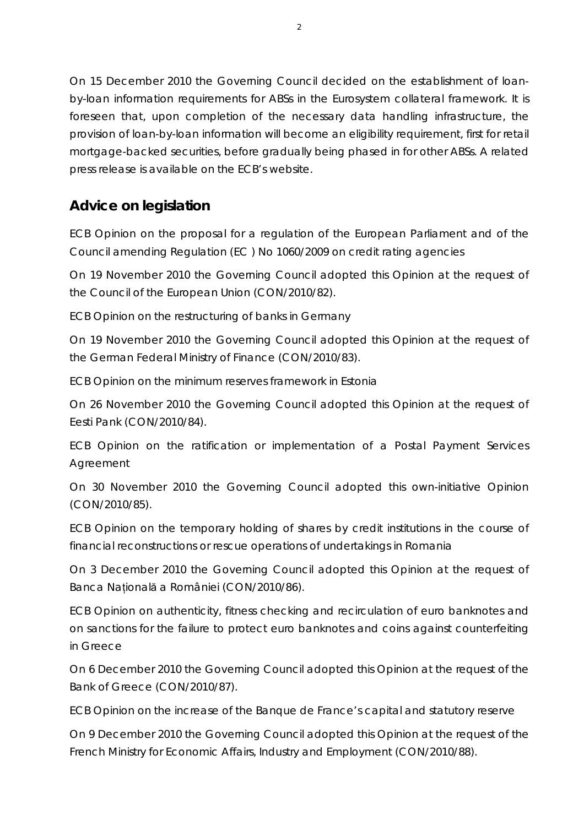On 15 December 2010 the Governing Council decided on the establishment of loanby-loan information requirements for ABSs in the Eurosystem collateral framework. It is foreseen that, upon completion of the necessary data handling infrastructure, the provision of loan-by-loan information will become an eligibility requirement, first for retail mortgage-backed securities, before gradually being phased in for other ABSs. A related press release is available on the ECB's website.

## **Advice on legislation**

*ECB Opinion on the proposal for a regulation of the European Parliament and of the Council amending Regulation (EC ) No 1060/2009 on credit rating agencies* 

On 19 November 2010 the Governing Council adopted this Opinion at the request of the Council of the European Union (CON/2010/82).

*ECB Opinion on the restructuring of banks in Germany* 

On 19 November 2010 the Governing Council adopted this Opinion at the request of the German Federal Ministry of Finance (CON/2010/83).

*ECB Opinion on the minimum reserves framework in Estonia* 

On 26 November 2010 the Governing Council adopted this Opinion at the request of Eesti Pank (CON/2010/84).

*ECB Opinion on the ratification or implementation of a Postal Payment Services Agreement* 

On 30 November 2010 the Governing Council adopted this own-initiative Opinion (CON/2010/85).

*ECB Opinion on the temporary holding of shares by credit institutions in the course of financial reconstructions or rescue operations of undertakings in Romania* 

On 3 December 2010 the Governing Council adopted this Opinion at the request of Banca Naţională a României (CON/2010/86).

*ECB Opinion on authenticity, fitness checking and recirculation of euro banknotes and on sanctions for the failure to protect euro banknotes and coins against counterfeiting in Greece* 

On 6 December 2010 the Governing Council adopted this Opinion at the request of the Bank of Greece (CON/2010/87).

*ECB Opinion on the increase of the Banque de France's capital and statutory reserve* 

On 9 December 2010 the Governing Council adopted this Opinion at the request of the French Ministry for Economic Affairs, Industry and Employment (CON/2010/88).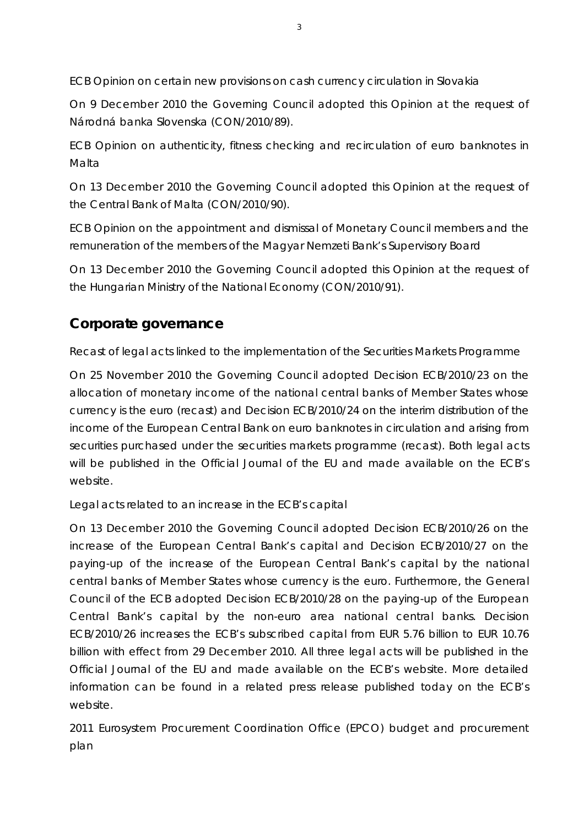*ECB Opinion on certain new provisions on cash currency circulation in Slovakia* 

On 9 December 2010 the Governing Council adopted this Opinion at the request of Národná banka Slovenska (CON/2010/89).

*ECB Opinion on authenticity, fitness checking and recirculation of euro banknotes in Malta* 

On 13 December 2010 the Governing Council adopted this Opinion at the request of the Central Bank of Malta (CON/2010/90).

*ECB Opinion on the appointment and dismissal of Monetary Council members and the remuneration of the members of the Magyar Nemzeti Bank's Supervisory Board* 

On 13 December 2010 the Governing Council adopted this Opinion at the request of the Hungarian Ministry of the National Economy (CON/2010/91).

## **Corporate governance**

### *Recast of legal acts linked to the implementation of the Securities Markets Programme*

On 25 November 2010 the Governing Council adopted Decision ECB/2010/23 on the allocation of monetary income of the national central banks of Member States whose currency is the euro (recast) and Decision ECB/2010/24 on the interim distribution of the income of the European Central Bank on euro banknotes in circulation and arising from securities purchased under the securities markets programme (recast). Both legal acts will be published in the *Official Journal of the EU* and made available on the ECB's website.

### *Legal acts related to an increase in the ECB's capital*

On 13 December 2010 the Governing Council adopted Decision ECB/2010/26 on the increase of the European Central Bank's capital and Decision ECB/2010/27 on the paying-up of the increase of the European Central Bank's capital by the national central banks of Member States whose currency is the euro. Furthermore, the General Council of the ECB adopted Decision ECB/2010/28 on the paying-up of the European Central Bank's capital by the non-euro area national central banks. Decision ECB/2010/26 increases the ECB's subscribed capital from EUR 5.76 billion to EUR 10.76 billion with effect from 29 December 2010. All three legal acts will be published in the *Official Journal of the EU* and made available on the ECB's website. More detailed information can be found in a related press release published today on the ECB's website.

2011 Eurosystem Procurement Coordination Office (EPCO) budget and procurement *plan*